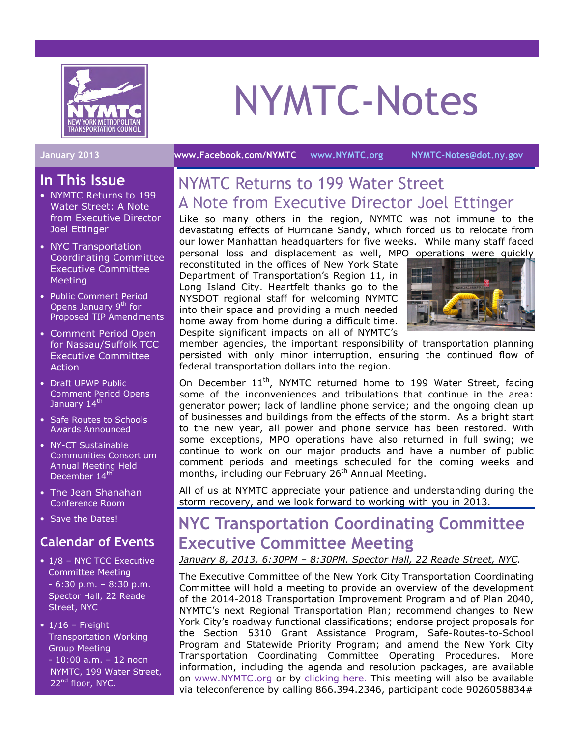

# NYMTC-Notes

#### January 2013 www.Facebook.com/NYMTC www.NYMTC.org NYMTC-Notes@dot.ny.gov

#### In This Issue

- NYMTC Returns to 199 Water Street: A Note from Executive Director Joel Ettinger
- NYC Transportation Coordinating Committee Executive Committee Meeting
- Public Comment Period Opens January 9<sup>th</sup> for Proposed TIP Amendments
- Comment Period Open for Nassau/Suffolk TCC Executive Committee Action
- Draft UPWP Public Comment Period Opens January 14<sup>th</sup>
- Safe Routes to Schools Awards Announced
- NY-CT Sustainable Communities Consortium Annual Meeting Held December 14<sup>th</sup>
- The Jean Shanahan Conference Room
- Save the Dates!

## Calendar of Events

- 1/8 NYC TCC Executive Committee Meeting - 6:30 p.m. – 8:30 p.m. Spector Hall, 22 Reade Street, NYC
- $\cdot$  1/16 Freight Transportation Working Group Meeting - 10:00 a.m. – 12 noon NYMTC, 199 Water Street, 22<sup>nd</sup> floor, NYC.

## NYMTC Returns to 199 Water Street A Note from Executive Director Joel Ettinger

Like so many others in the region, NYMTC was not immune to the devastating effects of Hurricane Sandy, which forced us to relocate from our lower Manhattan headquarters for five weeks. While many staff faced

personal loss and displacement as well, MPO operations were quickly reconstituted in the offices of New York State Department of Transportation's Region 11, in Long Island City. Heartfelt thanks go to the NYSDOT regional staff for welcoming NYMTC into their space and providing a much needed home away from home during a difficult time. Despite significant impacts on all of NYMTC's



member agencies, the important responsibility of transportation planning persisted with only minor interruption, ensuring the continued flow of federal transportation dollars into the region.

On December  $11^{th}$ , NYMTC returned home to 199 Water Street, facing some of the inconveniences and tribulations that continue in the area: generator power; lack of landline phone service; and the ongoing clean up of businesses and buildings from the effects of the storm. As a bright start to the new year, all power and phone service has been restored. With some exceptions, MPO operations have also returned in full swing; we continue to work on our major products and have a number of public comment periods and meetings scheduled for the coming weeks and months, including our February 26<sup>th</sup> Annual Meeting.

All of us at NYMTC appreciate your patience and understanding during the storm recovery, and we look forward to working with you in 2013.

## NYC Transportation Coordinating Committee Executive Committee Meeting

#### January 8, 2013, 6:30PM – 8:30PM. Spector Hall, 22 Reade Street, NYC.

The Executive Committee of the New York City Transportation Coordinating Committee will hold a meeting to provide an overview of the development of the 2014-2018 Transportation Improvement Program and of Plan 2040, NYMTC's next Regional Transportation Plan; recommend changes to New York City's roadway functional classifications; endorse project proposals for the Section 5310 Grant Assistance Program, Safe-Routes-to-School Program and Statewide Priority Program; and amend the New York City Transportation Coordinating Committee Operating Procedures. More information, including the agenda and resolution packages, are available on www.NYMTC.org or by clicking here. This meeting will also be available via teleconference by calling 866.394.2346, participant code 9026058834#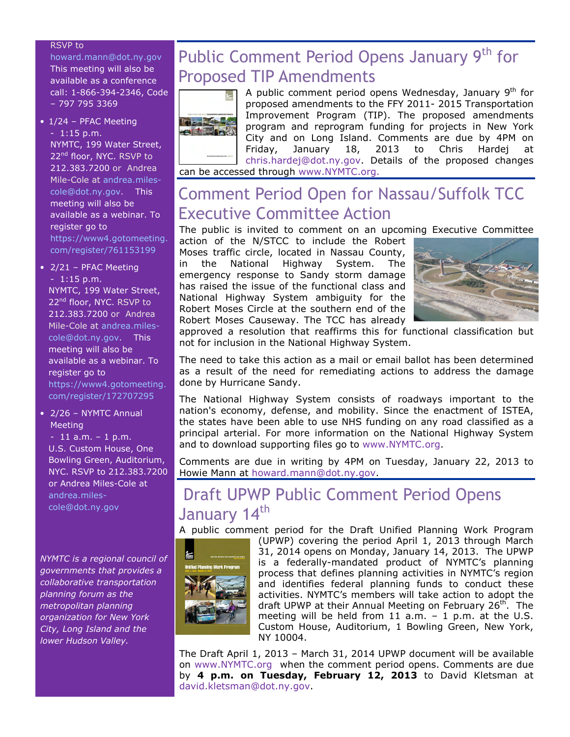#### RSVP to

howard.mann@dot.ny.gov This meeting will also be available as a conference call: 1-866-394-2346, Code – 797 795 3369

- 1/24 PFAC Meeting - 1:15 p.m. NYMTC, 199 Water Street, 22<sup>nd</sup> floor, NYC. RSVP to 212.383.7200 or Andrea Mile-Cole at andrea.milescole@dot.ny.gov. This meeting will also be available as a webinar. To register go to https://www4.gotomeeting. com/register/761153199
- 2/21 PFAC Meeting - 1:15 p.m. NYMTC, 199 Water Street, 22<sup>nd</sup> floor, NYC. RSVP to

212.383.7200 or Andrea Mile-Cole at andrea.milescole@dot.ny.gov. This meeting will also be available as a webinar. To register go to https://www4.gotomeeting. com/register/172707295

• 2/26 – NYMTC Annual **Meeting** 

 $-11$  a.m.  $-1$  p.m. U.S. Custom House, One Bowling Green, Auditorium, NYC. RSVP to 212.383.7200 or Andrea Miles-Cole at andrea.milescole@dot.ny.gov

NYMTC is a regional council of governments that provides a collaborative transportation planning forum as the metropolitan planning organization for New York City, Long Island and the lower Hudson Valley.

# Public Comment Period Opens January 9<sup>th</sup> for Proposed TIP Amendments



A public comment period opens Wednesday, January  $9<sup>th</sup>$  for proposed amendments to the FFY 2011- 2015 Transportation Improvement Program (TIP). The proposed amendments program and reprogram funding for projects in New York City and on Long Island. Comments are due by 4PM on Friday, January 18, 2013 to Chris Hardej at chris.hardej@dot.ny.gov. Details of the proposed changes can be accessed through www.NYMTC.org.

## Comment Period Open for Nassau/Suffolk TCC Executive Committee Action

The public is invited to comment on an upcoming Executive Committee action of the N/STCC to include the Robert

Moses traffic circle, located in Nassau County, in the National Highway System. The emergency response to Sandy storm damage has raised the issue of the functional class and National Highway System ambiguity for the Robert Moses Circle at the southern end of the Robert Moses Causeway. The TCC has already



approved a resolution that reaffirms this for functional classification but not for inclusion in the National Highway System.

The need to take this action as a mail or email ballot has been determined as a result of the need for remediating actions to address the damage done by Hurricane Sandy.

The National Highway System consists of roadways important to the nation's economy, defense, and mobility. Since the enactment of ISTEA, the states have been able to use NHS funding on any road classified as a principal arterial. For more information on the National Highway System and to download supporting files go to www.NYMTC.org.

Comments are due in writing by 4PM on Tuesday, January 22, 2013 to Howie Mann at howard.mann@dot.ny.gov.

## Draft UPWP Public Comment Period Opens January 14<sup>th</sup>

A public comment period for the Draft Unified Planning Work Program



(UPWP) covering the period April 1, 2013 through March 31, 2014 opens on Monday, January 14, 2013. The UPWP is a federally-mandated product of NYMTC's planning process that defines planning activities in NYMTC's region and identifies federal planning funds to conduct these activities. NYMTC's members will take action to adopt the draft UPWP at their Annual Meeting on February 26<sup>th</sup>. The meeting will be held from 11 a.m. – 1 p.m. at the U.S. Custom House, Auditorium, 1 Bowling Green, New York, NY 10004.

The Draft April 1, 2013 – March 31, 2014 UPWP document will be available on www.NYMTC.org when the comment period opens. Comments are due by 4 p.m. on Tuesday, February 12, 2013 to David Kletsman at david.kletsman@dot.ny.gov.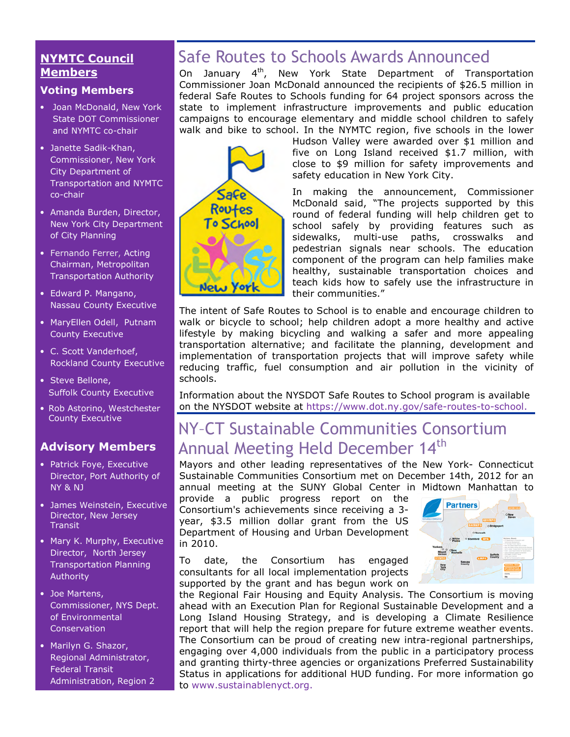#### NYMTC Council **Members**

#### Voting Members

- Joan McDonald, New York State DOT Commissioner and NYMTC co-chair
- Janette Sadik-Khan, Commissioner, New York City Department of Transportation and NYMTC co-chair
- Amanda Burden, Director, New York City Department of City Planning
- Fernando Ferrer, Acting Chairman, Metropolitan Transportation Authority
- Edward P. Mangano, Nassau County Executive
- MaryEllen Odell, Putnam County Executive
- C. Scott Vanderhoef, Rockland County Executive
- Steve Bellone, Suffolk County Executive
- Rob Astorino, Westchester County Executive

## Advisory Members

- Patrick Foye, Executive Director, Port Authority of NY & NJ
- James Weinstein, Executive Director, New Jersey **Transit**
- Mary K. Murphy, Executive Director, North Jersey Transportation Planning Authority
- Joe Martens, Commissioner, NYS Dept. of Environmental **Conservation**
- Marilyn G. Shazor, Regional Administrator, Federal Transit Administration, Region 2

# Safe Routes to Schools Awards Announced

On January 4th, New York State Department of Transportation Commissioner Joan McDonald announced the recipients of \$26.5 million in federal Safe Routes to Schools funding for 64 project sponsors across the state to implement infrastructure improvements and public education campaigns to encourage elementary and middle school children to safely walk and bike to school. In the NYMTC region, five schools in the lower



Hudson Valley were awarded over \$1 million and five on Long Island received \$1.7 million, with close to \$9 million for safety improvements and safety education in New York City.

In making the announcement, Commissioner McDonald said, "The projects supported by this round of federal funding will help children get to school safely by providing features such as sidewalks, multi-use paths, crosswalks and pedestrian signals near schools. The education component of the program can help families make healthy, sustainable transportation choices and teach kids how to safely use the infrastructure in their communities."

The intent of Safe Routes to School is to enable and encourage children to walk or bicycle to school; help children adopt a more healthy and active lifestyle by making bicycling and walking a safer and more appealing transportation alternative; and facilitate the planning, development and implementation of transportation projects that will improve safety while reducing traffic, fuel consumption and air pollution in the vicinity of schools.

Information about the NYSDOT Safe Routes to School program is available on the NYSDOT website at https://www.dot.ny.gov/safe-routes-to-school.

# NY–CT Sustainable Communities Consortium Annual Meeting Held December 14<sup>th</sup>

Mayors and other leading representatives of the New York- Connecticut Sustainable Communities Consortium met on December 14th, 2012 for an annual meeting at the SUNY Global Center in Midtown Manhattan to

provide a public progress report on the Consortium's achievements since receiving a 3 year, \$3.5 million dollar grant from the US Department of Housing and Urban Development in 2010.

To date, the Consortium has engaged consultants for all local implementation projects supported by the grant and has begun work on



the Regional Fair Housing and Equity Analysis. The Consortium is moving ahead with an Execution Plan for Regional Sustainable Development and a Long Island Housing Strategy, and is developing a Climate Resilience report that will help the region prepare for future extreme weather events. The Consortium can be proud of creating new intra-regional partnerships, engaging over 4,000 individuals from the public in a participatory process and granting thirty-three agencies or organizations Preferred Sustainability Status in applications for additional HUD funding. For more information go to www.sustainablenyct.org.